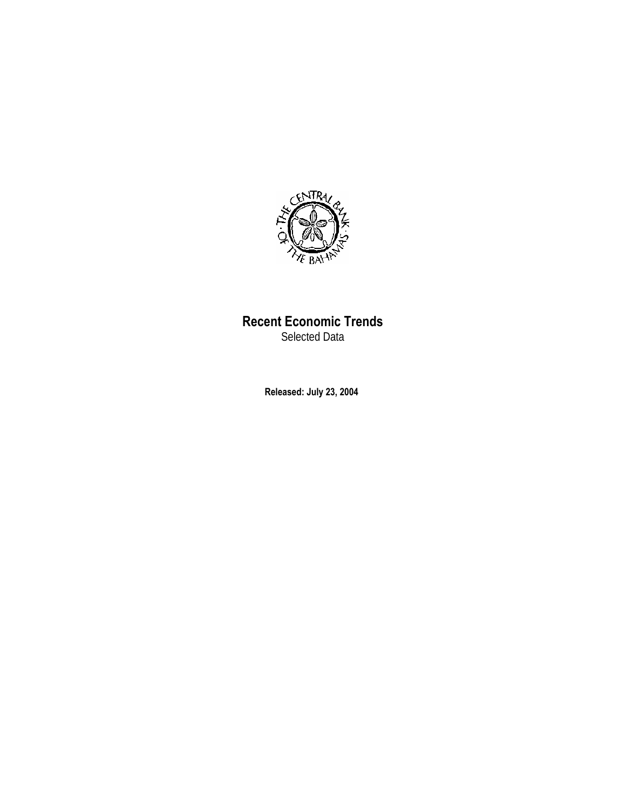

## **Recent Economic Trends**

Selected Data

**Released: July 23, 2004**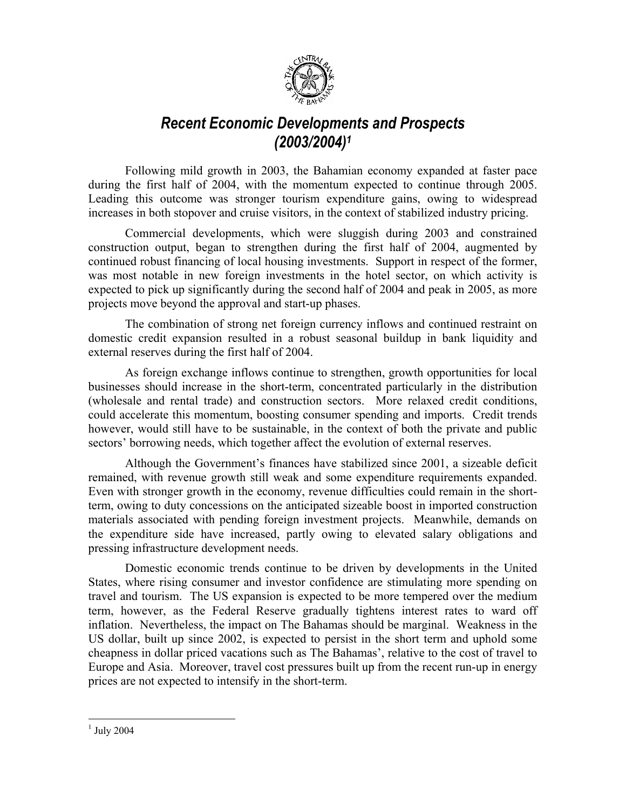

# *Recent Economic Developments and Prospects (2003/2004)1*

Following mild growth in 2003, the Bahamian economy expanded at faster pace during the first half of 2004, with the momentum expected to continue through 2005. Leading this outcome was stronger tourism expenditure gains, owing to widespread increases in both stopover and cruise visitors, in the context of stabilized industry pricing.

Commercial developments, which were sluggish during 2003 and constrained construction output, began to strengthen during the first half of 2004, augmented by continued robust financing of local housing investments. Support in respect of the former, was most notable in new foreign investments in the hotel sector, on which activity is expected to pick up significantly during the second half of 2004 and peak in 2005, as more projects move beyond the approval and start-up phases.

The combination of strong net foreign currency inflows and continued restraint on domestic credit expansion resulted in a robust seasonal buildup in bank liquidity and external reserves during the first half of 2004.

As foreign exchange inflows continue to strengthen, growth opportunities for local businesses should increase in the short-term, concentrated particularly in the distribution (wholesale and rental trade) and construction sectors. More relaxed credit conditions, could accelerate this momentum, boosting consumer spending and imports. Credit trends however, would still have to be sustainable, in the context of both the private and public sectors' borrowing needs, which together affect the evolution of external reserves.

Although the Government's finances have stabilized since 2001, a sizeable deficit remained, with revenue growth still weak and some expenditure requirements expanded. Even with stronger growth in the economy, revenue difficulties could remain in the shortterm, owing to duty concessions on the anticipated sizeable boost in imported construction materials associated with pending foreign investment projects. Meanwhile, demands on the expenditure side have increased, partly owing to elevated salary obligations and pressing infrastructure development needs.

Domestic economic trends continue to be driven by developments in the United States, where rising consumer and investor confidence are stimulating more spending on travel and tourism. The US expansion is expected to be more tempered over the medium term, however, as the Federal Reserve gradually tightens interest rates to ward off inflation. Nevertheless, the impact on The Bahamas should be marginal. Weakness in the US dollar, built up since 2002, is expected to persist in the short term and uphold some cheapness in dollar priced vacations such as The Bahamas', relative to the cost of travel to Europe and Asia. Moreover, travel cost pressures built up from the recent run-up in energy prices are not expected to intensify in the short-term.

 $\overline{a}$ 

 $<sup>1</sup>$  July 2004</sup>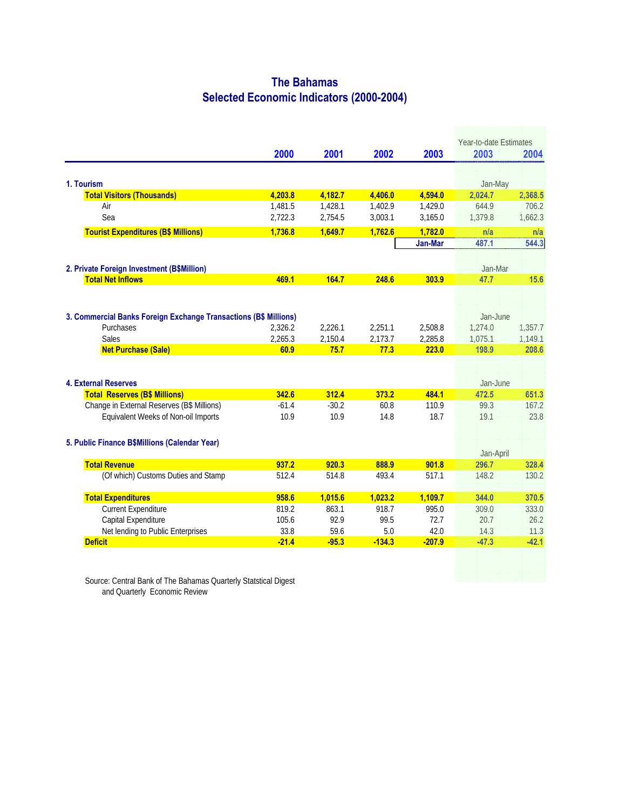#### **The Bahamas Selected Economic Indicators (2000-2004)**

|                                                                  |         |         |          |          | Year-to-date Estimates |         |
|------------------------------------------------------------------|---------|---------|----------|----------|------------------------|---------|
|                                                                  | 2000    | 2001    | 2002     | 2003     | 2003                   | 2004    |
|                                                                  |         |         |          |          |                        |         |
| 1. Tourism                                                       |         |         |          |          | Jan-May                |         |
| <b>Total Visitors (Thousands)</b>                                | 4,203.8 | 4,182.7 | 4,406.0  | 4,594.0  | 2,024.7                | 2,368.5 |
| Air                                                              | 1,481.5 | 1,428.1 | 1,402.9  | 1,429.0  | 644.9                  | 706.2   |
| Sea                                                              | 2,722.3 | 2,754.5 | 3,003.1  | 3,165.0  | 1,379.8                | 1,662.3 |
| <b>Tourist Expenditures (B\$ Millions)</b>                       | 1.736.8 | 1.649.7 | 1.762.6  | 1.782.0  | n/a                    | n/a     |
|                                                                  |         |         |          | Jan-Mar  | 487.1                  | 544.3   |
| 2. Private Foreign Investment (B\$Million)                       |         |         |          |          | Jan-Mar                |         |
| <b>Total Net Inflows</b>                                         | 469.1   | 164.7   | 248.6    | 303.9    | 47.7                   | 15.6    |
|                                                                  |         |         |          |          |                        |         |
| 3. Commercial Banks Foreign Exchange Transactions (B\$ Millions) |         |         |          |          | Jan-June               |         |
| Purchases                                                        | 2,326.2 | 2,226.1 | 2,251.1  | 2,508.8  | 1,274.0                | 1,357.7 |
| <b>Sales</b>                                                     | 2,265.3 | 2,150.4 | 2,173.7  | 2,285.8  | 1,075.1                | 1,149.1 |
| <b>Net Purchase (Sale)</b>                                       | 60.9    | 75.7    | 77.3     | 223.0    | 198.9                  | 208.6   |
|                                                                  |         |         |          |          |                        |         |
| <b>4. External Reserves</b>                                      |         |         |          |          | Jan-June               |         |
| <b>Total Reserves (B\$ Millions)</b>                             | 342.6   | 312.4   | 373.2    | 484.1    | 472.5                  | 651.3   |
| Change in External Reserves (B\$ Millions)                       | $-61.4$ | $-30.2$ | 60.8     | 110.9    | 99.3                   | 167.2   |
| Equivalent Weeks of Non-oil Imports                              | 10.9    | 10.9    | 14.8     | 18.7     | 19.1                   | 23.8    |
| 5. Public Finance B\$Millions (Calendar Year)                    |         |         |          |          |                        |         |
|                                                                  |         |         |          |          | Jan-April              |         |
| <b>Total Revenue</b>                                             | 937.2   | 920.3   | 888.9    | 901.8    | 296.7                  | 328.4   |
| (Of which) Customs Duties and Stamp                              | 512.4   | 514.8   | 493.4    | 517.1    | 148.2                  | 130.2   |
| <b>Total Expenditures</b>                                        | 958.6   | 1,015.6 | 1,023.2  | 1,109.7  | 344.0                  | 370.5   |
| <b>Current Expenditure</b>                                       | 819.2   | 863.1   | 918.7    | 995.0    | 309.0                  | 333.0   |
| Capital Expenditure                                              | 105.6   | 92.9    | 99.5     | 72.7     | 20.7                   | 26.2    |
| Net lending to Public Enterprises                                | 33.8    | 59.6    | 5.0      | 42.0     | 14.3                   | 11.3    |
| <b>Deficit</b>                                                   | $-21.4$ | $-95.3$ | $-134.3$ | $-207.9$ | $-47.3$                | $-42.1$ |

Source: Central Bank of The Bahamas Quarterly Statstical Digest and Quarterly Economic Review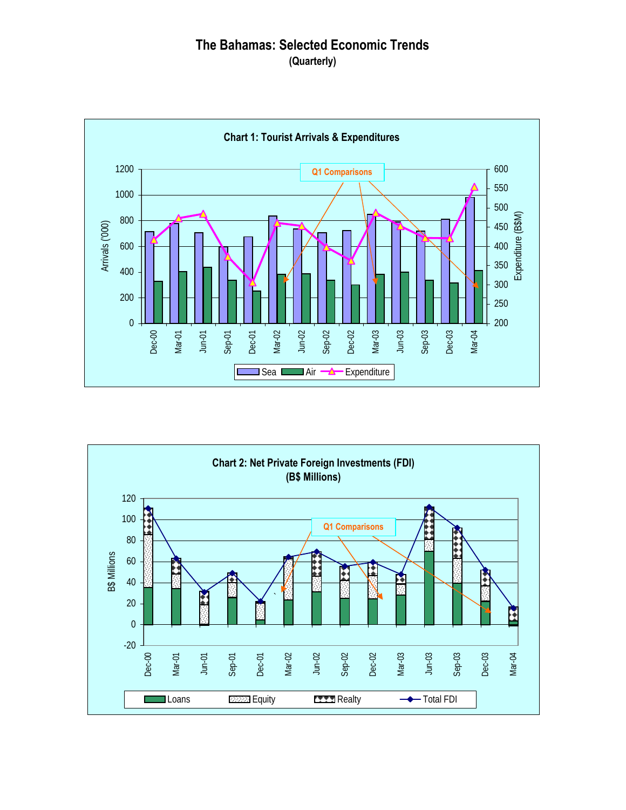### **The Bahamas: Selected Economic Trends (Quarterly)**



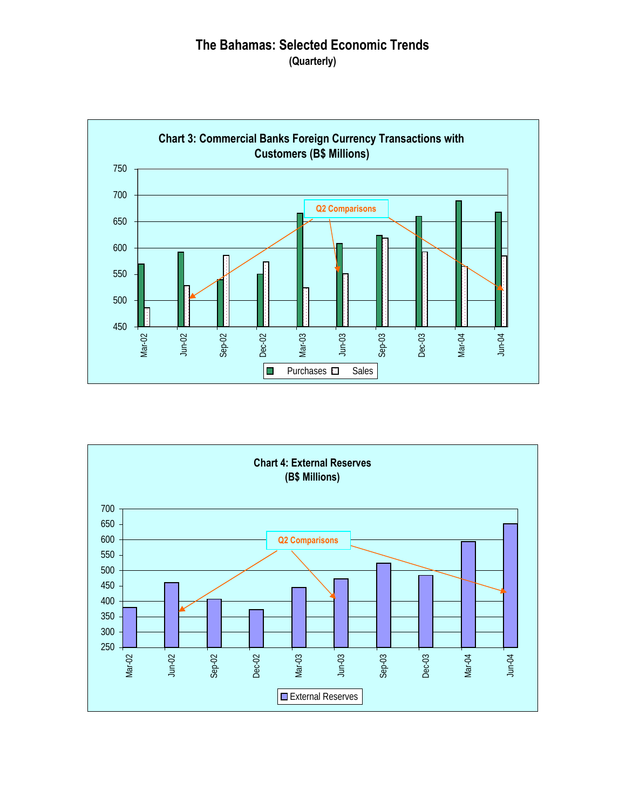### **The Bahamas: Selected Economic Trends (Quarterly)**